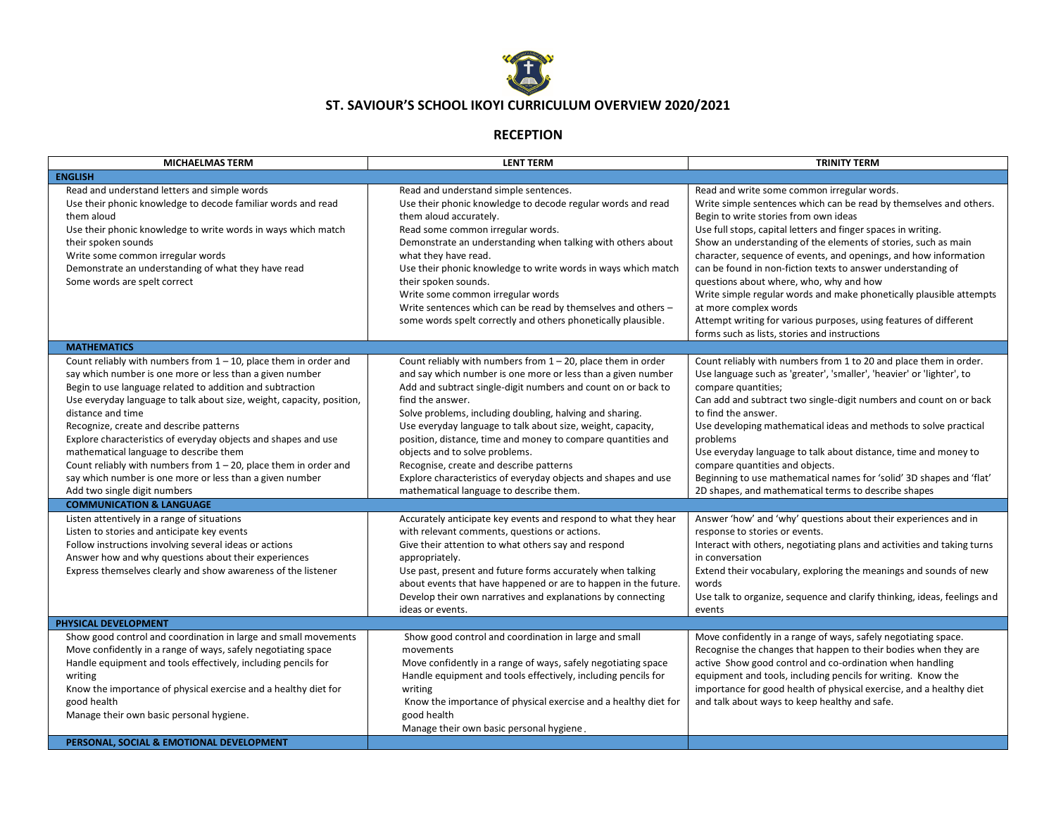

## **ST. SAVIOUR'S SCHOOL IKOYI CURRICULUM OVERVIEW 2020/2021**

## **RECEPTION**

| <b>MICHAELMAS TERM</b>                                                                                                                                                                                                                                                                                                                                                                                                                                                                                                                                                                                                                                                                                                                                                                                                                                                                                                                       | <b>LENT TERM</b>                                                                                                                                                                                                                                                                                                                                                                                                                                                                                                                                                                                                                                                                                                                                                                                                                                                    | <b>TRINITY TERM</b>                                                                                                                                                                                                                                                                                                                                                                                                                                                                                                                                                                                                                                                                                                                                                                                                                                          |
|----------------------------------------------------------------------------------------------------------------------------------------------------------------------------------------------------------------------------------------------------------------------------------------------------------------------------------------------------------------------------------------------------------------------------------------------------------------------------------------------------------------------------------------------------------------------------------------------------------------------------------------------------------------------------------------------------------------------------------------------------------------------------------------------------------------------------------------------------------------------------------------------------------------------------------------------|---------------------------------------------------------------------------------------------------------------------------------------------------------------------------------------------------------------------------------------------------------------------------------------------------------------------------------------------------------------------------------------------------------------------------------------------------------------------------------------------------------------------------------------------------------------------------------------------------------------------------------------------------------------------------------------------------------------------------------------------------------------------------------------------------------------------------------------------------------------------|--------------------------------------------------------------------------------------------------------------------------------------------------------------------------------------------------------------------------------------------------------------------------------------------------------------------------------------------------------------------------------------------------------------------------------------------------------------------------------------------------------------------------------------------------------------------------------------------------------------------------------------------------------------------------------------------------------------------------------------------------------------------------------------------------------------------------------------------------------------|
| <b>ENGLISH</b>                                                                                                                                                                                                                                                                                                                                                                                                                                                                                                                                                                                                                                                                                                                                                                                                                                                                                                                               |                                                                                                                                                                                                                                                                                                                                                                                                                                                                                                                                                                                                                                                                                                                                                                                                                                                                     |                                                                                                                                                                                                                                                                                                                                                                                                                                                                                                                                                                                                                                                                                                                                                                                                                                                              |
| Read and understand letters and simple words<br>Use their phonic knowledge to decode familiar words and read<br>them aloud<br>Use their phonic knowledge to write words in ways which match<br>their spoken sounds<br>Write some common irregular words<br>Demonstrate an understanding of what they have read<br>Some words are spelt correct                                                                                                                                                                                                                                                                                                                                                                                                                                                                                                                                                                                               | Read and understand simple sentences.<br>Use their phonic knowledge to decode regular words and read<br>them aloud accurately.<br>Read some common irregular words.<br>Demonstrate an understanding when talking with others about<br>what they have read.<br>Use their phonic knowledge to write words in ways which match<br>their spoken sounds.<br>Write some common irregular words<br>Write sentences which can be read by themselves and others -<br>some words spelt correctly and others phonetically plausible.                                                                                                                                                                                                                                                                                                                                           | Read and write some common irregular words.<br>Write simple sentences which can be read by themselves and others.<br>Begin to write stories from own ideas<br>Use full stops, capital letters and finger spaces in writing.<br>Show an understanding of the elements of stories, such as main<br>character, sequence of events, and openings, and how information<br>can be found in non-fiction texts to answer understanding of<br>questions about where, who, why and how<br>Write simple regular words and make phonetically plausible attempts<br>at more complex words<br>Attempt writing for various purposes, using features of different<br>forms such as lists, stories and instructions                                                                                                                                                           |
| <b>MATHEMATICS</b>                                                                                                                                                                                                                                                                                                                                                                                                                                                                                                                                                                                                                                                                                                                                                                                                                                                                                                                           |                                                                                                                                                                                                                                                                                                                                                                                                                                                                                                                                                                                                                                                                                                                                                                                                                                                                     |                                                                                                                                                                                                                                                                                                                                                                                                                                                                                                                                                                                                                                                                                                                                                                                                                                                              |
| Count reliably with numbers from $1 - 10$ , place them in order and<br>say which number is one more or less than a given number<br>Begin to use language related to addition and subtraction<br>Use everyday language to talk about size, weight, capacity, position,<br>distance and time<br>Recognize, create and describe patterns<br>Explore characteristics of everyday objects and shapes and use<br>mathematical language to describe them<br>Count reliably with numbers from $1 - 20$ , place them in order and<br>say which number is one more or less than a given number<br>Add two single digit numbers<br><b>COMMUNICATION &amp; LANGUAGE</b><br>Listen attentively in a range of situations<br>Listen to stories and anticipate key events<br>Follow instructions involving several ideas or actions<br>Answer how and why questions about their experiences<br>Express themselves clearly and show awareness of the listener | Count reliably with numbers from $1 - 20$ , place them in order<br>and say which number is one more or less than a given number<br>Add and subtract single-digit numbers and count on or back to<br>find the answer.<br>Solve problems, including doubling, halving and sharing.<br>Use everyday language to talk about size, weight, capacity,<br>position, distance, time and money to compare quantities and<br>objects and to solve problems.<br>Recognise, create and describe patterns<br>Explore characteristics of everyday objects and shapes and use<br>mathematical language to describe them.<br>Accurately anticipate key events and respond to what they hear<br>with relevant comments, questions or actions.<br>Give their attention to what others say and respond<br>appropriately.<br>Use past, present and future forms accurately when talking | Count reliably with numbers from 1 to 20 and place them in order.<br>Use language such as 'greater', 'smaller', 'heavier' or 'lighter', to<br>compare quantities;<br>Can add and subtract two single-digit numbers and count on or back<br>to find the answer.<br>Use developing mathematical ideas and methods to solve practical<br>problems<br>Use everyday language to talk about distance, time and money to<br>compare quantities and objects.<br>Beginning to use mathematical names for 'solid' 3D shapes and 'flat'<br>2D shapes, and mathematical terms to describe shapes<br>Answer 'how' and 'why' questions about their experiences and in<br>response to stories or events.<br>Interact with others, negotiating plans and activities and taking turns<br>in conversation<br>Extend their vocabulary, exploring the meanings and sounds of new |
|                                                                                                                                                                                                                                                                                                                                                                                                                                                                                                                                                                                                                                                                                                                                                                                                                                                                                                                                              | about events that have happened or are to happen in the future.<br>Develop their own narratives and explanations by connecting                                                                                                                                                                                                                                                                                                                                                                                                                                                                                                                                                                                                                                                                                                                                      | words<br>Use talk to organize, sequence and clarify thinking, ideas, feelings and                                                                                                                                                                                                                                                                                                                                                                                                                                                                                                                                                                                                                                                                                                                                                                            |
|                                                                                                                                                                                                                                                                                                                                                                                                                                                                                                                                                                                                                                                                                                                                                                                                                                                                                                                                              | ideas or events.                                                                                                                                                                                                                                                                                                                                                                                                                                                                                                                                                                                                                                                                                                                                                                                                                                                    | events                                                                                                                                                                                                                                                                                                                                                                                                                                                                                                                                                                                                                                                                                                                                                                                                                                                       |
| PHYSICAL DEVELOPMENT                                                                                                                                                                                                                                                                                                                                                                                                                                                                                                                                                                                                                                                                                                                                                                                                                                                                                                                         |                                                                                                                                                                                                                                                                                                                                                                                                                                                                                                                                                                                                                                                                                                                                                                                                                                                                     |                                                                                                                                                                                                                                                                                                                                                                                                                                                                                                                                                                                                                                                                                                                                                                                                                                                              |
| Show good control and coordination in large and small movements<br>Move confidently in a range of ways, safely negotiating space<br>Handle equipment and tools effectively, including pencils for<br>writing<br>Know the importance of physical exercise and a healthy diet for<br>good health<br>Manage their own basic personal hygiene.                                                                                                                                                                                                                                                                                                                                                                                                                                                                                                                                                                                                   | Show good control and coordination in large and small<br>movements<br>Move confidently in a range of ways, safely negotiating space<br>Handle equipment and tools effectively, including pencils for<br>writing<br>Know the importance of physical exercise and a healthy diet for<br>good health<br>Manage their own basic personal hygiene.                                                                                                                                                                                                                                                                                                                                                                                                                                                                                                                       | Move confidently in a range of ways, safely negotiating space.<br>Recognise the changes that happen to their bodies when they are<br>active Show good control and co-ordination when handling<br>equipment and tools, including pencils for writing. Know the<br>importance for good health of physical exercise, and a healthy diet<br>and talk about ways to keep healthy and safe.                                                                                                                                                                                                                                                                                                                                                                                                                                                                        |
| PERSONAL, SOCIAL & EMOTIONAL DEVELOPMENT                                                                                                                                                                                                                                                                                                                                                                                                                                                                                                                                                                                                                                                                                                                                                                                                                                                                                                     |                                                                                                                                                                                                                                                                                                                                                                                                                                                                                                                                                                                                                                                                                                                                                                                                                                                                     |                                                                                                                                                                                                                                                                                                                                                                                                                                                                                                                                                                                                                                                                                                                                                                                                                                                              |